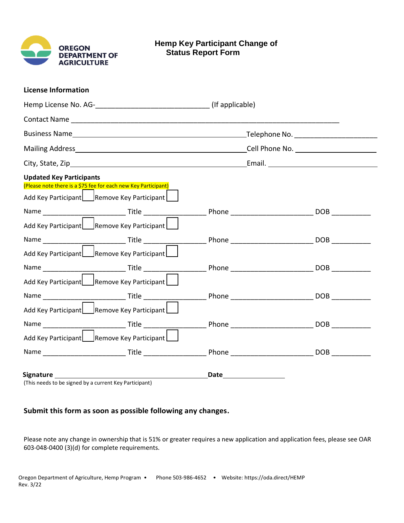

## **License Information**

| <b>Updated Key Participants</b><br>(Please note there is a \$75 fee for each new Key Participant)                                                                                                                             |  |
|-------------------------------------------------------------------------------------------------------------------------------------------------------------------------------------------------------------------------------|--|
| Add Key Participant Remove Key Participant                                                                                                                                                                                    |  |
|                                                                                                                                                                                                                               |  |
| Add Key Participant   Remove Key Participant                                                                                                                                                                                  |  |
|                                                                                                                                                                                                                               |  |
| Add Key Participant Remove Key Participant                                                                                                                                                                                    |  |
|                                                                                                                                                                                                                               |  |
| Add Key Participant   Remove Key Participant                                                                                                                                                                                  |  |
|                                                                                                                                                                                                                               |  |
| Add Key Participant   Remove Key Participant                                                                                                                                                                                  |  |
|                                                                                                                                                                                                                               |  |
| Add Key Participant   Remove Key Participant                                                                                                                                                                                  |  |
|                                                                                                                                                                                                                               |  |
| Signature and the state of the state of the state of the state of the state of the state of the state of the state of the state of the state of the state of the state of the state of the state of the state of the state of |  |

(This needs to be signed by a current Key Participant)

## **Submit this form as soon as possible following any changes.**

Please note any change in ownership that is 51% or greater requires a new application and application fees, please see OAR 603-048-0400 (3)(d) for complete requirements.